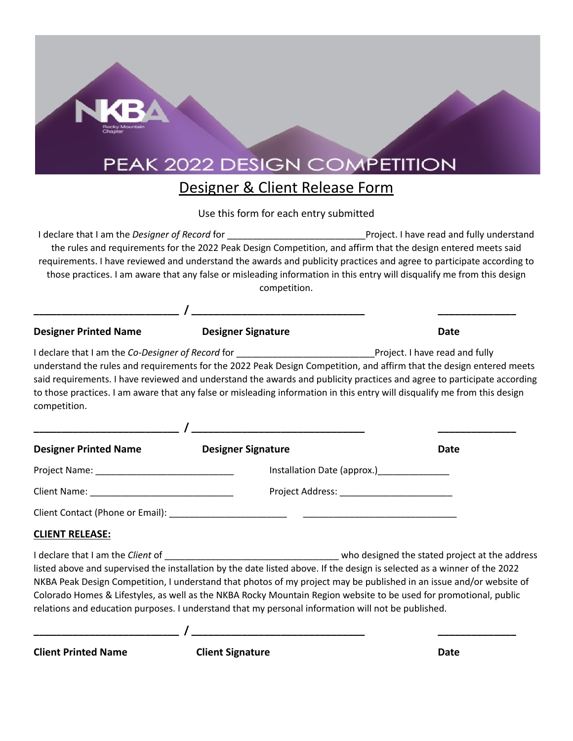## PEAK 2022 DESIGN COMPETITION

## Designer & Client Release Form

## Use this form for each entry submitted

I declare that I am the *Designer of Record* for \_\_\_\_\_\_\_\_\_\_\_\_\_\_\_\_\_\_\_\_\_\_\_\_\_\_\_Project. I have read and fully understand the rules and requirements for the 2022 Peak Design Competition, and affirm that the design entered meets said requirements. I have reviewed and understand the awards and publicity practices and agree to participate according to those practices. I am aware that any false or misleading information in this entry will disqualify me from this design competition.

| <b>Designer Printed Name</b>                    | <b>Designer Signature</b>                                                                          | <b>Date</b>                                                                                                                                                                                                                                                                                                                                                                  |
|-------------------------------------------------|----------------------------------------------------------------------------------------------------|------------------------------------------------------------------------------------------------------------------------------------------------------------------------------------------------------------------------------------------------------------------------------------------------------------------------------------------------------------------------------|
| competition.                                    |                                                                                                    | understand the rules and requirements for the 2022 Peak Design Competition, and affirm that the design entered meets<br>said requirements. I have reviewed and understand the awards and publicity practices and agree to participate according<br>to those practices. I am aware that any false or misleading information in this entry will disqualify me from this design |
|                                                 |                                                                                                    |                                                                                                                                                                                                                                                                                                                                                                              |
| Designer Printed Name <b>Designer Signature</b> |                                                                                                    | <b>Date</b>                                                                                                                                                                                                                                                                                                                                                                  |
|                                                 |                                                                                                    | Installation Date (approx.)__________________                                                                                                                                                                                                                                                                                                                                |
|                                                 |                                                                                                    |                                                                                                                                                                                                                                                                                                                                                                              |
|                                                 |                                                                                                    |                                                                                                                                                                                                                                                                                                                                                                              |
| <b>CLIENT RELEASE:</b>                          |                                                                                                    |                                                                                                                                                                                                                                                                                                                                                                              |
|                                                 | relations and education purposes. I understand that my personal information will not be published. | listed above and supervised the installation by the date listed above. If the design is selected as a winner of the 2022<br>NKBA Peak Design Competition, I understand that photos of my project may be published in an issue and/or website of<br>Colorado Homes & Lifestyles, as well as the NKBA Rocky Mountain Region website to be used for promotional, public         |
| <b>Client Printed Name</b>                      | <b>Client Signature</b>                                                                            | <b>Date</b>                                                                                                                                                                                                                                                                                                                                                                  |